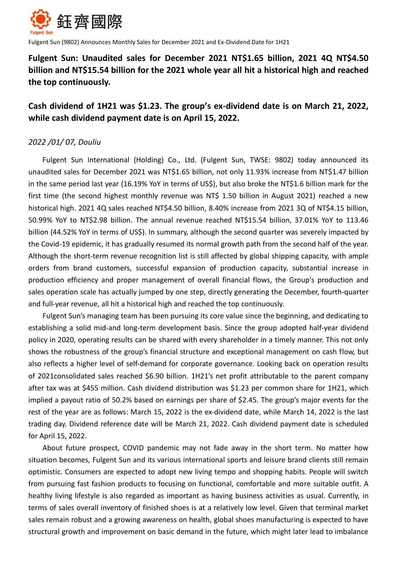

Fulgent Sun (9802) Announces Monthly Sales for December 2021 and Ex-Dividend Date for 1H21

**Fulgent Sun: Unaudited sales for December 2021 NT\$1.65 billion, 2021 4Q NT\$4.50 billion and NT\$15.54 billion for the 2021 whole year all hit a historical high and reached the top continuously.**

# **Cash dividend of 1H21 was \$1.23. The group's ex-dividend date is on March 21, 2022, while cash dividend payment date is on April 15, 2022.**

# *2022 /01/ 07, Douliu*

Fulgent Sun International (Holding) Co., Ltd. (Fulgent Sun, TWSE: 9802) today announced its unaudited sales for December 2021 was NT\$1.65 billion, not only 11.93% increase from NT\$1.47 billion in the same period last year (16.19% YoY in terms of US\$), but also broke the NT\$1.6 billion mark for the first time (the second highest monthly revenue was NT\$ 1.50 billion in August 2021) reached a new historical high. 2021 4Q sales reached NT\$4.50 billion, 8.40% increase from 2021 3Q of NT\$4.15 billion, 50.99% YoY to NT\$2.98 billion. The annual revenue reached NT\$15.54 billion, 37.01% YoY to 113.46 billion (44.52% YoY in terms of US\$). In summary, although the second quarter was severely impacted by the Covid-19 epidemic, it has gradually resumed its normal growth path from the second half of the year. Although the short-term revenue recognition list is still affected by global shipping capacity, with ample orders from brand customers, successful expansion of production capacity, substantial increase in production efficiency and proper management of overall financial flows, the Group's production and sales operation scale has actually jumped by one step, directly generating the December, fourth-quarter and full-year revenue, all hit a historical high and reached the top continuously.

Fulgent Sun's managing team has been pursuing its core value since the beginning, and dedicating to establishing a solid mid-and long-term development basis. Since the group adopted half-year dividend policy in 2020, operating results can be shared with every shareholder in a timely manner. This not only shows the robustness of the group's financial structure and exceptional management on cash flow, but also reflects a higher level of self-demand for corporate governance. Looking back on operation results of 2021consolidated sales reached \$6.90 billion. 1H21's net profit attributable to the parent company after tax was at \$455 million. Cash dividend distribution was \$1.23 per common share for 1H21, which implied a payout ratio of 50.2% based on earnings per share of \$2.45. The group's major events for the rest of the year are as follows: March 15, 2022 is the ex-dividend date, while March 14, 2022 is the last trading day. Dividend reference date will be March 21, 2022. Cash dividend payment date is scheduled for April 15, 2022.

About future prospect, COVID pandemic may not fade away in the short term. No matter how situation becomes, Fulgent Sun and its various international sports and leisure brand clients still remain optimistic. Consumers are expected to adopt new living tempo and shopping habits. People will switch from pursuing fast fashion products to focusing on functional, comfortable and more suitable outfit. A healthy living lifestyle is also regarded as important as having business activities as usual. Currently, in terms of sales overall inventory of finished shoes is at a relatively low level. Given that terminal market sales remain robust and a growing awareness on health, global shoes manufacturing is expected to have structural growth and improvement on basic demand in the future, which might later lead to imbalance